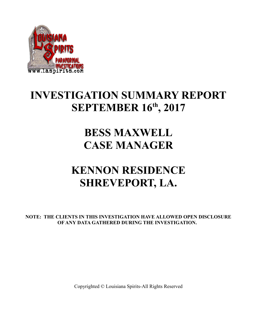

## **INVESTIGATION SUMMARY REPORT SEPTEMBER 16th, 2017**

### **BESS MAXWELL CASE MANAGER**

# **KENNON RESIDENCE SHREVEPORT, LA.**

**NOTE: THE CLIENTS IN THIS INVESTIGATION HAVE ALLOWED OPEN DISCLOSURE OF ANY DATA GATHERED DURING THE INVESTIGATION.**

Copyrighted © Louisiana Spirits-All Rights Reserved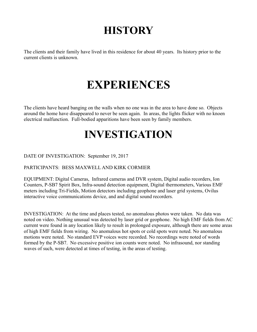# **HISTORY**

The clients and their family have lived in this residence for about 40 years. Its history prior to the current clients is unknown.

# **EXPERIENCES**

The clients have heard banging on the walls when no one was in the area to have done so. Objects around the home have disappeared to never be seen again. In areas, the lights flicker with no knoen electrical malfunction. Full-bodied apparitions have been seen by family members.

## **INVESTIGATION**

DATE OF INVESTIGATION: September 19, 2017

#### PARTICIPANTS: BESS MAXWELL AND KIRK CORMIER

EQUIPMENT: Digital Cameras, Infrared cameras and DVR system, Digital audio recorders, Ion Counters, P-SB7 Spirit Box, Infra-sound detection equipment, Digital thermometers, Various EMF meters including Tri-Fields, Motion detectors including geophone and laser grid systems, Ovilus interactive voice communications device, and and digital sound recorders.

INVESTIGATION: At the time and places tested, no anomalous photos were taken. No data was noted on video. Nothing unusual was detected by laser grid or geophone. No high EMF fields from AC current were found in any location likely to result in prolonged exposure, although there are some areas of high EMF fields from wiring. No anomalous hot spots or cold spots were noted. No anomalous motions were noted. No standard EVP voices were recorded. No recordings were noted of words formed by the P-SB7. No excessive positive ion counts were noted. No infrasound, nor standing waves of such, were detected at times of testing, in the areas of testing.